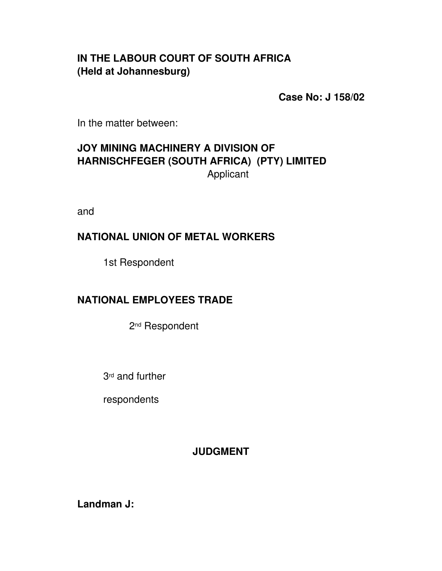# **IN THE LABOUR COURT OF SOUTH AFRICA (Held at Johannesburg)**

**Case No: J 158/02**

In the matter between:

# **JOY MINING MACHINERY A DIVISION OF HARNISCHFEGER (SOUTH AFRICA) (PTY) LIMITED** Applicant

and

## **NATIONAL UNION OF METAL WORKERS**

1st Respondent

## **NATIONAL EMPLOYEES TRADE**

2nd Respondent

3rd and further

respondents

## **JUDGMENT**

**Landman J:**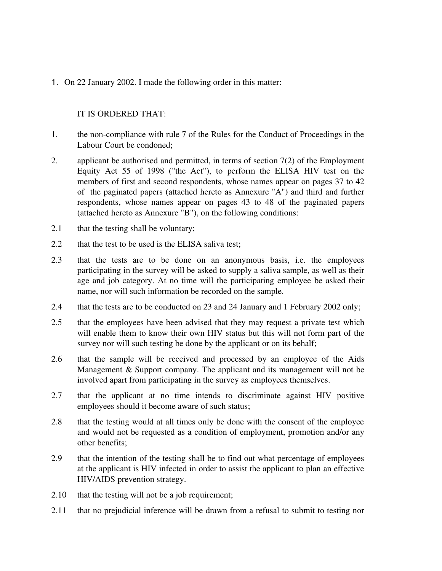1. On 22 January 2002. I made the following order in this matter:

#### IT IS ORDERED THAT:

- 1. the non-compliance with rule 7 of the Rules for the Conduct of Proceedings in the Labour Court be condoned;
- 2. applicant be authorised and permitted, in terms of section  $7(2)$  of the Employment Equity Act 55 of 1998 ("the Act"), to perform the ELISA HIV test on the members of first and second respondents, whose names appear on pages 37 to 42 of the paginated papers (attached hereto as Annexure "A") and third and further respondents, whose names appear on pages 43 to 48 of the paginated papers (attached hereto as Annexure "B"), on the following conditions:
- 2.1 that the testing shall be voluntary;
- 2.2 that the test to be used is the ELISA saliva test;
- 2.3 that the tests are to be done on an anonymous basis, i.e. the employees participating in the survey will be asked to supply a saliva sample, as well as their age and job category. At no time will the participating employee be asked their name, nor will such information be recorded on the sample.
- 2.4 that the tests are to be conducted on 23 and 24 January and 1 February 2002 only;
- 2.5 that the employees have been advised that they may request a private test which will enable them to know their own HIV status but this will not form part of the survey nor will such testing be done by the applicant or on its behalf;
- 2.6 that the sample will be received and processed by an employee of the Aids Management & Support company. The applicant and its management will not be involved apart from participating in the survey as employees themselves.
- 2.7 that the applicant at no time intends to discriminate against HIV positive employees should it become aware of such status;
- 2.8 that the testing would at all times only be done with the consent of the employee and would not be requested as a condition of employment, promotion and/or any other benefits;
- 2.9 that the intention of the testing shall be to find out what percentage of employees at the applicant is HIV infected in order to assist the applicant to plan an effective HIV/AIDS prevention strategy.
- 2.10 that the testing will not be a job requirement;
- 2.11 that no prejudicial inference will be drawn from a refusal to submit to testing nor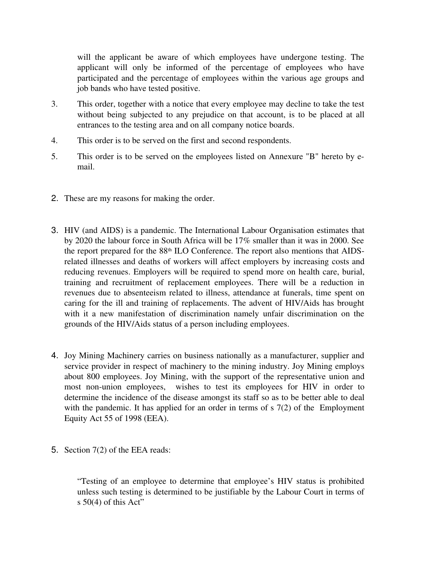will the applicant be aware of which employees have undergone testing. The applicant will only be informed of the percentage of employees who have participated and the percentage of employees within the various age groups and job bands who have tested positive.

- 3. This order, together with a notice that every employee may decline to take the test without being subjected to any prejudice on that account, is to be placed at all entrances to the testing area and on all company notice boards.
- 4. This order is to be served on the first and second respondents.
- 5. This order is to be served on the employees listed on Annexure "B" hereto by email.
- 2. These are my reasons for making the order.
- 3. HIV (and AIDS) is a pandemic. The International Labour Organisation estimates that by 2020 the labour force in South Africa will be 17% smaller than it was in 2000. See the report prepared for the 88<sup>th</sup> ILO Conference. The report also mentions that AIDSrelated illnesses and deaths of workers will affect employers by increasing costs and reducing revenues. Employers will be required to spend more on health care, burial, training and recruitment of replacement employees. There will be a reduction in revenues due to absenteeism related to illness, attendance at funerals, time spent on caring for the ill and training of replacements. The advent of HIV/Aids has brought with it a new manifestation of discrimination namely unfair discrimination on the grounds of the HIV/Aids status of a person including employees.
- 4. Joy Mining Machinery carries on business nationally as a manufacturer, supplier and service provider in respect of machinery to the mining industry. Joy Mining employs about 800 employees. Joy Mining, with the support of the representative union and most non-union employees, wishes to test its employees for HIV in order to determine the incidence of the disease amongst its staff so as to be better able to deal with the pandemic. It has applied for an order in terms of s 7(2) of the Employment Equity Act 55 of 1998 (EEA).
- 5. Section 7(2) of the EEA reads:

"Testing of an employee to determine that employee's HIV status is prohibited unless such testing is determined to be justifiable by the Labour Court in terms of s  $50(4)$  of this Act"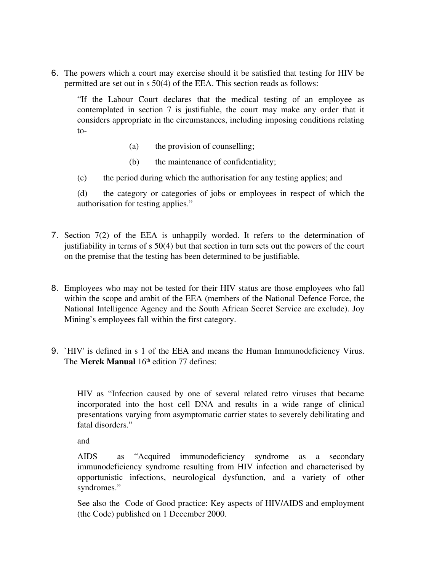6. The powers which a court may exercise should it be satisfied that testing for HIV be permitted are set out in s 50(4) of the EEA. This section reads as follows:

"If the Labour Court declares that the medical testing of an employee as contemplated in section 7 is justifiable, the court may make any order that it considers appropriate in the circumstances, including imposing conditions relating to

- (a) the provision of counselling;
- (b) the maintenance of confidentiality;
- (c) the period during which the authorisation for any testing applies; and

(d) the category or categories of jobs or employees in respect of which the authorisation for testing applies."

- 7. Section  $7(2)$  of the EEA is unhappily worded. It refers to the determination of justifiability in terms of s 50(4) but that section in turn sets out the powers of the court on the premise that the testing has been determined to be justifiable.
- 8. Employees who may not be tested for their HIV status are those employees who fall within the scope and ambit of the EEA (members of the National Defence Force, the National Intelligence Agency and the South African Secret Service are exclude). Joy Mining's employees fall within the first category.
- 9. `HIV' is defined in s 1 of the EEA and means the Human Immunodeficiency Virus. The **Merck Manual** 16<sup>th</sup> edition 77 defines:

HIV as "Infection caused by one of several related retro viruses that became incorporated into the host cell DNA and results in a wide range of clinical presentations varying from asymptomatic carrier states to severely debilitating and fatal disorders."

and

AIDS as "Acquired immunodeficiency syndrome as a secondary immunodeficiency syndrome resulting from HIV infection and characterised by opportunistic infections, neurological dysfunction, and a variety of other syndromes."

See also the Code of Good practice: Key aspects of HIV/AIDS and employment (the Code) published on 1 December 2000.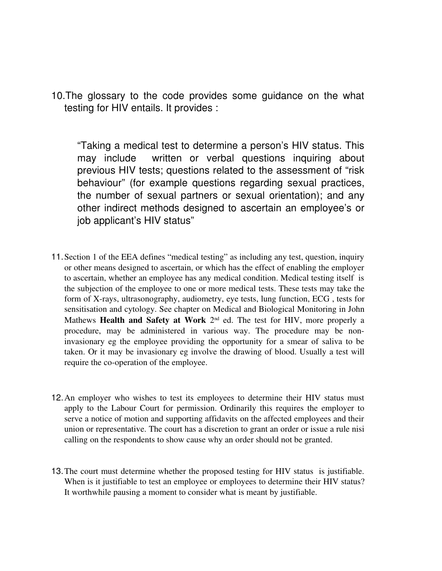10.The glossary to the code provides some guidance on the what testing for HIV entails. It provides :

"Taking a medical test to determine a person's HIV status. This may include written or verbal questions inquiring about previous HIV tests; questions related to the assessment of "risk behaviour" (for example questions regarding sexual practices, the number of sexual partners or sexual orientation); and any other indirect methods designed to ascertain an employee's or job applicant's HIV status"

- 11.Section 1 of the EEA defines "medical testing" as including any test, question, inquiry or other means designed to ascertain, or which has the effect of enabling the employer to ascertain, whether an employee has any medical condition. Medical testing itself is the subjection of the employee to one or more medical tests. These tests may take the form of X-rays, ultrasonography, audiometry, eye tests, lung function, ECG, tests for sensitisation and cytology. See chapter on Medical and Biological Monitoring in John Mathews **Health and Safety at Work**  $2<sup>nd</sup>$  ed. The test for HIV, more properly a procedure, may be administered in various way. The procedure may be noninvasionary eg the employee providing the opportunity for a smear of saliva to be taken. Or it may be invasionary eg involve the drawing of blood. Usually a test will require the co-operation of the employee.
- 12.An employer who wishes to test its employees to determine their HIV status must apply to the Labour Court for permission. Ordinarily this requires the employer to serve a notice of motion and supporting affidavits on the affected employees and their union or representative. The court has a discretion to grant an order or issue a rule nisi calling on the respondents to show cause why an order should not be granted.
- 13.The court must determine whether the proposed testing for HIV status is justifiable. When is it justifiable to test an employee or employees to determine their HIV status? It worthwhile pausing a moment to consider what is meant by justifiable.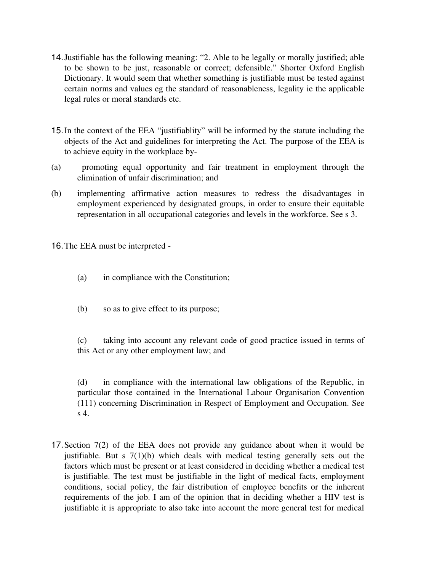- 14.Justifiable has the following meaning: "2. Able to be legally or morally justified; able to be shown to be just, reasonable or correct; defensible." Shorter Oxford English Dictionary. It would seem that whether something is justifiable must be tested against certain norms and values eg the standard of reasonableness, legality ie the applicable legal rules or moral standards etc.
- 15.In the context of the EEA "justifiablity" will be informed by the statute including the objects of the Act and guidelines for interpreting the Act. The purpose of the EEA is to achieve equity in the workplace by
- (a) promoting equal opportunity and fair treatment in employment through the elimination of unfair discrimination; and
- (b) implementing affirmative action measures to redress the disadvantages in employment experienced by designated groups, in order to ensure their equitable representation in all occupational categories and levels in the workforce. See s 3.

16.The EEA must be interpreted

- (a) in compliance with the Constitution;
- (b) so as to give effect to its purpose;

(c) taking into account any relevant code of good practice issued in terms of this Act or any other employment law; and

(d) in compliance with the international law obligations of the Republic, in particular those contained in the International Labour Organisation Convention (111) concerning Discrimination in Respect of Employment and Occupation. See s 4.

17.Section 7(2) of the EEA does not provide any guidance about when it would be justifiable. But s  $7(1)(b)$  which deals with medical testing generally sets out the factors which must be present or at least considered in deciding whether a medical test is justifiable. The test must be justifiable in the light of medical facts, employment conditions, social policy, the fair distribution of employee benefits or the inherent requirements of the job. I am of the opinion that in deciding whether a HIV test is justifiable it is appropriate to also take into account the more general test for medical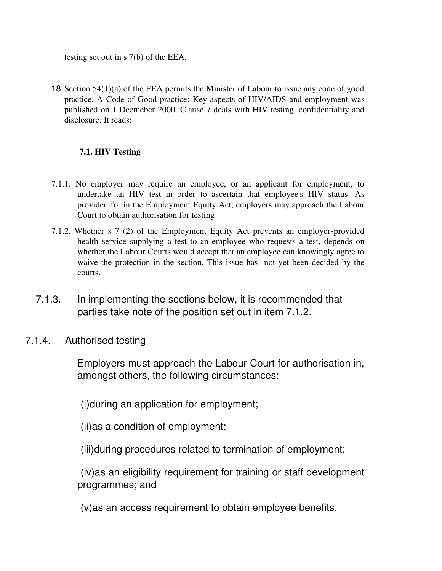testing set out in s 7(b) of the EEA.

18.Section 54(1)(a) of the EEA permits the Minister of Labour to issue any code of good practice. A Code of Good practice: Key aspects of HIV/AIDS and employment was published on 1 Decmeber 2000. Clause 7 deals with HIV testing, confidentiality and disclosure. It reads:

### 7.1. HIV Testing

- 7.1.1. No employer may require an employee, or an applicant for employment, to undertake an HIV test in order to ascertain that employee's HIV status. As provided for in the Employment Equity Act, employers may approach the Labour Court to obtain authorisation for testing
- 7.1.2. Whether  $s$  7 (2) of the Employment Equity Act prevents an employer-provided health service supplying a test to an employee who requests a test, depends on whether the Labour Courts would accept that an employee can knowingly agree to waive the protection in the section. This issue has- not yet been decided by the courts.
- 7.1.3. In implementing the sections below, it is recommended that parties take note of the position set out in item 7.1.2.
- 7.1.4. Authorised testing

Employers must approach the Labour Court for authorisation in, amongst others, the following circumstances:

(i)during an application for employment;

(ii)as a condition of employment;

(iii)during procedures related to termination of employment;

(iv)as an eligibility requirement for training or staff development programmes; and

(v)as an access requirement to obtain employee benefits.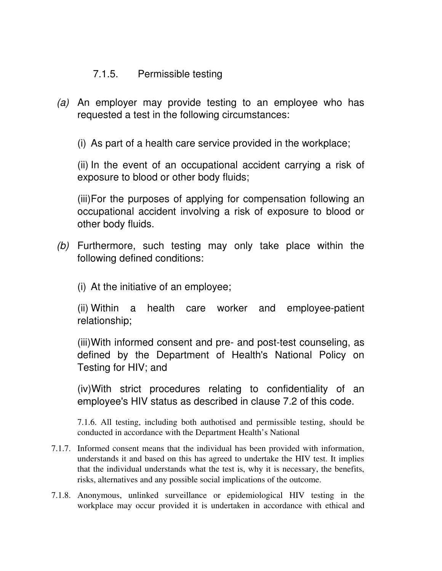### 7.1.5. Permissible testing

*(a)* An employer may provide testing to an employee who has requested a test in the following circumstances:

(i) As part of a health care service provided in the workplace;

(ii) In the event of an occupational accident carrying a risk of exposure to blood or other body fluids;

(iii)For the purposes of applying for compensation following an occupational accident involving a risk of exposure to blood or other body fluids.

*(b)* Furthermore, such testing may only take place within the following defined conditions:

(i) At the initiative of an employee;

(ii) Within a health care worker and employee-patient relationship;

(iii) With informed consent and pre- and post-test counseling, as defined by the Department of Health's National Policy on Testing for HIV; and

(iv)With strict procedures relating to confidentiality of an employee's HIV status as described in clause 7.2 of this code.

7.1.6. All testing, including both authotised and permissible testing, should be conducted in accordance with the Department Health's National

- 7.1.7. Informed consent means that the individual has been provided with information, understands it and based on this has agreed to undertake the HIV test. It implies that the individual understands what the test is, why it is necessary, the benefits, risks, alternatives and any possible social implications of the outcome.
- 7.1.8. Anonymous, unlinked surveillance or epidemiological HIV testing in the workplace may occur provided it is undertaken in accordance with ethical and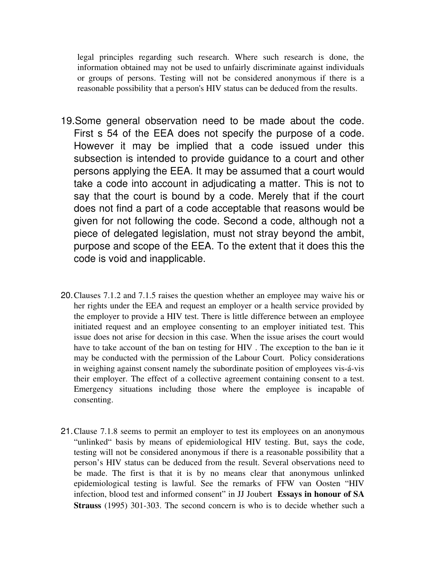legal principles regarding such research. Where such research is done, the information obtained may not be used to unfairly discriminate against individuals or groups of persons. Testing will not be considered anonymous if there is a reasonable possibility that a person's HIV status can be deduced from the results.

- 19.Some general observation need to be made about the code. First s 54 of the EEA does not specify the purpose of a code. However it may be implied that a code issued under this subsection is intended to provide guidance to a court and other persons applying the EEA. It may be assumed that a court would take a code into account in adjudicating a matter. This is not to say that the court is bound by a code. Merely that if the court does not find a part of a code acceptable that reasons would be given for not following the code. Second a code, although not a piece of delegated legislation, must not stray beyond the ambit, purpose and scope of the EEA. To the extent that it does this the code is void and inapplicable.
- 20.Clauses 7.1.2 and 7.1.5 raises the question whether an employee may waive his or her rights under the EEA and request an employer or a health service provided by the employer to provide a HIV test. There is little difference between an employee initiated request and an employee consenting to an employer initiated test. This issue does not arise for decsion in this case. When the issue arises the court would have to take account of the ban on testing for HIV . The exception to the ban ie it may be conducted with the permission of the Labour Court. Policy considerations in weighing against consent namely the subordinate position of employees vis-á-vis their employer. The effect of a collective agreement containing consent to a test. Emergency situations including those where the employee is incapable of consenting.
- 21.Clause 7.1.8 seems to permit an employer to test its employees on an anonymous "unlinked" basis by means of epidemiological HIV testing. But, says the code, testing will not be considered anonymous if there is a reasonable possibility that a person's HIV status can be deduced from the result. Several observations need to be made. The first is that it is by no means clear that anonymous unlinked epidemiological testing is lawful. See the remarks of FFW van Oosten "HIV infection, blood test and informed consent" in JJ Joubert Essays in honour of SA **Strauss** (1995) 301-303. The second concern is who is to decide whether such a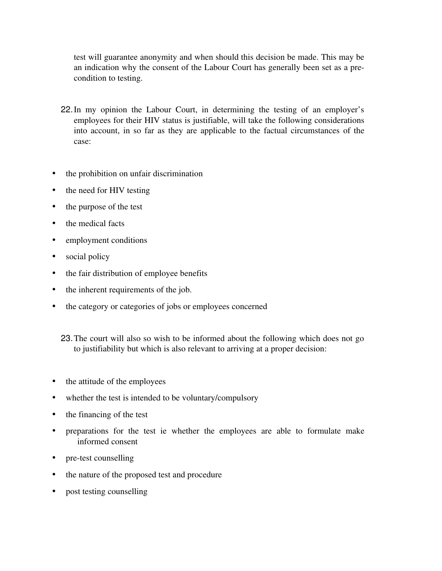test will guarantee anonymity and when should this decision be made. This may be an indication why the consent of the Labour Court has generally been set as a precondition to testing.

- 22. In my opinion the Labour Court, in determining the testing of an employer's employees for their HIV status is justifiable, will take the following considerations into account, in so far as they are applicable to the factual circumstances of the case:
- the prohibition on unfair discrimination
- the need for HIV testing
- the purpose of the test
- the medical facts
- employment conditions
- social policy
- the fair distribution of employee benefits
- the inherent requirements of the job.
- the category or categories of jobs or employees concerned

23.The court will also so wish to be informed about the following which does not go to justifiability but which is also relevant to arriving at a proper decision:

- the attitude of the employees
- whether the test is intended to be voluntary/compulsory
- the financing of the test
- preparations for the test ie whether the employees are able to formulate make informed consent
- pre-test counselling
- the nature of the proposed test and procedure
- post testing counselling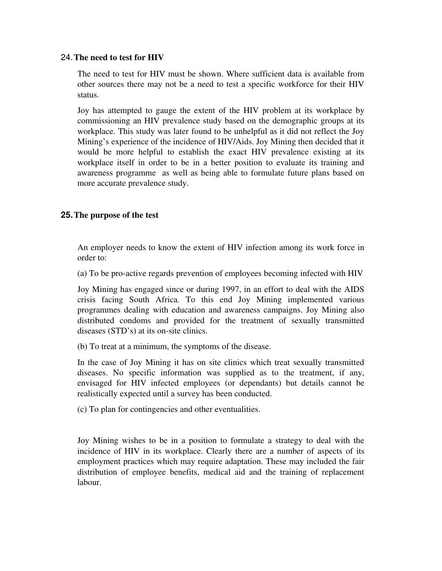#### 24.The need to test for HIV

The need to test for HIV must be shown. Where sufficient data is available from other sources there may not be a need to test a specific workforce for their HIV status.

Joy has attempted to gauge the extent of the HIV problem at its workplace by commissioning an HIV prevalence study based on the demographic groups at its workplace. This study was later found to be unhelpful as it did not reflect the Joy Mining's experience of the incidence of HIV/Aids. Joy Mining then decided that it would be more helpful to establish the exact HIV prevalence existing at its workplace itself in order to be in a better position to evaluate its training and awareness programme as well as being able to formulate future plans based on more accurate prevalence study.

#### **25.**The purpose of the test

An employer needs to know the extent of HIV infection among its work force in order to:

(a) To be pro-active regards prevention of employees becoming infected with HIV

Joy Mining has engaged since or during 1997, in an effort to deal with the AIDS crisis facing South Africa. To this end Joy Mining implemented various programmes dealing with education and awareness campaigns. Joy Mining also distributed condoms and provided for the treatment of sexually transmitted diseases (STD's) at its on-site clinics.

(b) To treat at a minimum, the symptoms of the disease.

In the case of Joy Mining it has on site clinics which treat sexually transmitted diseases. No specific information was supplied as to the treatment, if any, envisaged for HIV infected employees (or dependants) but details cannot be realistically expected until a survey has been conducted.

(c) To plan for contingencies and other eventualities.

Joy Mining wishes to be in a position to formulate a strategy to deal with the incidence of HIV in its workplace. Clearly there are a number of aspects of its employment practices which may require adaptation. These may included the fair distribution of employee benefits, medical aid and the training of replacement labour.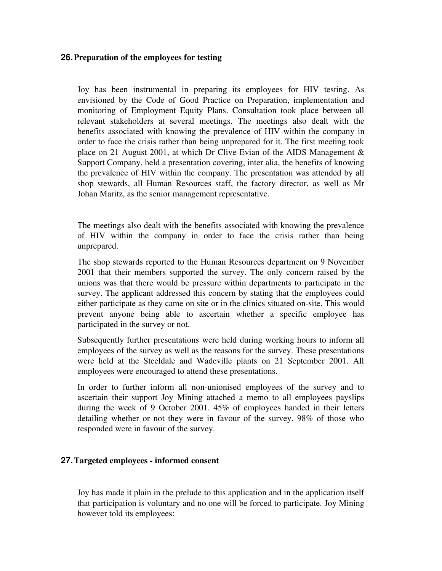#### **26.**Preparation of the employees for testing

Joy has been instrumental in preparing its employees for HIV testing. As envisioned by the Code of Good Practice on Preparation, implementation and monitoring of Employment Equity Plans. Consultation took place between all relevant stakeholders at several meetings. The meetings also dealt with the benefits associated with knowing the prevalence of HIV within the company in order to face the crisis rather than being unprepared for it. The first meeting took place on 21 August 2001, at which Dr Clive Evian of the AIDS Management & Support Company, held a presentation covering, inter alia, the benefits of knowing the prevalence of HIV within the company. The presentation was attended by all shop stewards, all Human Resources staff, the factory director, as well as Mr Johan Maritz, as the senior management representative.

The meetings also dealt with the benefits associated with knowing the prevalence of HIV within the company in order to face the crisis rather than being unprepared.

The shop stewards reported to the Human Resources department on 9 November 2001 that their members supported the survey. The only concern raised by the unions was that there would be pressure within departments to participate in the survey. The applicant addressed this concern by stating that the employees could either participate as they came on site or in the clinics situated on-site. This would prevent anyone being able to ascertain whether a specific employee has participated in the survey or not.

Subsequently further presentations were held during working hours to inform all employees of the survey as well as the reasons for the survey. These presentations were held at the Steeldale and Wadeville plants on 21 September 2001. All employees were encouraged to attend these presentations.

In order to further inform all non-unionised employees of the survey and to ascertain their support Joy Mining attached a memo to all employees payslips during the week of 9 October 2001. 45% of employees handed in their letters detailing whether or not they were in favour of the survey. 98% of those who responded were in favour of the survey.

#### **27.**Targeted employees informed consent

Joy has made it plain in the prelude to this application and in the application itself that participation is voluntary and no one will be forced to participate. Joy Mining however told its employees: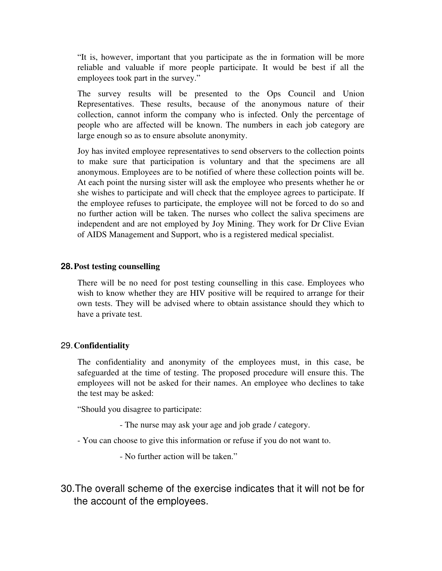"It is, however, important that you participate as the in formation will be more reliable and valuable if more people participate. It would be best if all the employees took part in the survey."

The survey results will be presented to the Ops Council and Union Representatives. These results, because of the anonymous nature of their collection, cannot inform the company who is infected. Only the percentage of people who are affected will be known. The numbers in each job category are large enough so as to ensure absolute anonymity.

Joy has invited employee representatives to send observers to the collection points to make sure that participation is voluntary and that the specimens are all anonymous. Employees are to be notified of where these collection points will be. At each point the nursing sister will ask the employee who presents whether he or she wishes to participate and will check that the employee agrees to participate. If the employee refuses to participate, the employee will not be forced to do so and no further action will be taken. The nurses who collect the saliva specimens are independent and are not employed by Joy Mining. They work for Dr Clive Evian of AIDS Management and Support, who is a registered medical specialist.

#### **28.**Post testing counselling

There will be no need for post testing counselling in this case. Employees who wish to know whether they are HIV positive will be required to arrange for their own tests. They will be advised where to obtain assistance should they which to have a private test.

#### 29.Confidentiality

The confidentiality and anonymity of the employees must, in this case, be safeguarded at the time of testing. The proposed procedure will ensure this. The employees will not be asked for their names. An employee who declines to take the test may be asked:

"Should you disagree to participate:

- The nurse may ask your age and job grade / category.
- You can choose to give this information or refuse if you do not want to.

No further action will be taken."

30.The overall scheme of the exercise indicates that it will not be for the account of the employees.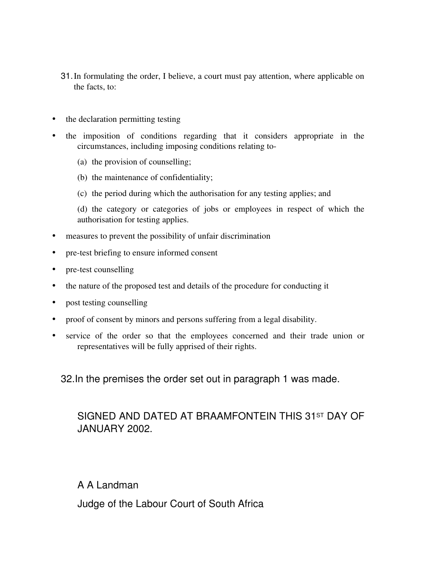- 31.In formulating the order, I believe, a court must pay attention, where applicable on the facts, to:
- the declaration permitting testing
- the imposition of conditions regarding that it considers appropriate in the circumstances, including imposing conditions relating to
	- (a) the provision of counselling;
	- (b) the maintenance of confidentiality;
	- (c) the period during which the authorisation for any testing applies; and

(d) the category or categories of jobs or employees in respect of which the authorisation for testing applies.

- measures to prevent the possibility of unfair discrimination
- pre-test briefing to ensure informed consent
- pre-test counselling
- the nature of the proposed test and details of the procedure for conducting it
- post testing counselling
- proof of consent by minors and persons suffering from a legal disability.
- service of the order so that the employees concerned and their trade union or representatives will be fully apprised of their rights.

32.In the premises the order set out in paragraph 1 was made.

## SIGNED AND DATED AT BRAAMFONTEIN THIS 31ST DAY OF JANUARY 2002.

A A Landman

Judge of the Labour Court of South Africa